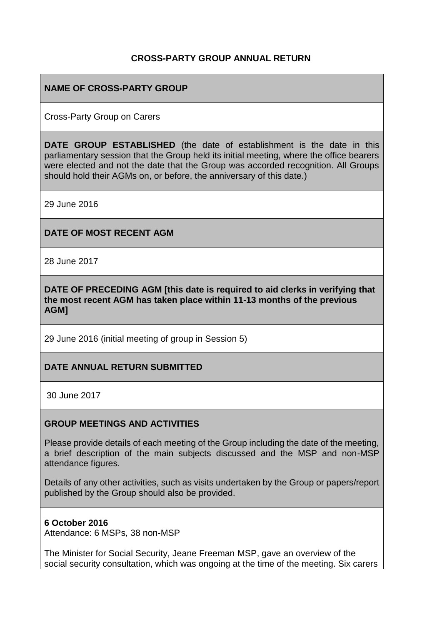## **CROSS-PARTY GROUP ANNUAL RETURN**

## **NAME OF CROSS-PARTY GROUP**

Cross-Party Group on Carers

**DATE GROUP ESTABLISHED** (the date of establishment is the date in this parliamentary session that the Group held its initial meeting, where the office bearers were elected and not the date that the Group was accorded recognition. All Groups should hold their AGMs on, or before, the anniversary of this date.)

29 June 2016

## **DATE OF MOST RECENT AGM**

28 June 2017

**DATE OF PRECEDING AGM [this date is required to aid clerks in verifying that the most recent AGM has taken place within 11-13 months of the previous AGM]**

29 June 2016 (initial meeting of group in Session 5)

## **DATE ANNUAL RETURN SUBMITTED**

30 June 2017

#### **GROUP MEETINGS AND ACTIVITIES**

Please provide details of each meeting of the Group including the date of the meeting, a brief description of the main subjects discussed and the MSP and non-MSP attendance figures.

Details of any other activities, such as visits undertaken by the Group or papers/report published by the Group should also be provided.

#### **6 October 2016**

Attendance: 6 MSPs, 38 non-MSP

The Minister for Social Security, Jeane Freeman MSP, gave an overview of the social security consultation, which was ongoing at the time of the meeting. Six carers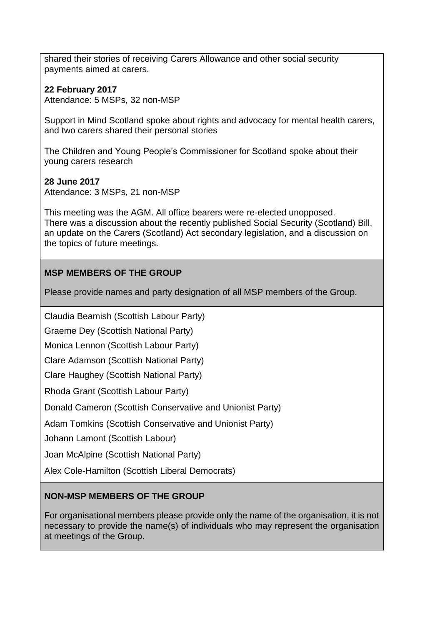shared their stories of receiving Carers Allowance and other social security payments aimed at carers.

## **22 February 2017**

Attendance: 5 MSPs, 32 non-MSP

Support in Mind Scotland spoke about rights and advocacy for mental health carers, and two carers shared their personal stories

The Children and Young People's Commissioner for Scotland spoke about their young carers research

## **28 June 2017**

Attendance: 3 MSPs, 21 non-MSP

This meeting was the AGM. All office bearers were re-elected unopposed. There was a discussion about the recently published Social Security (Scotland) Bill, an update on the Carers (Scotland) Act secondary legislation, and a discussion on the topics of future meetings.

# **MSP MEMBERS OF THE GROUP**

Please provide names and party designation of all MSP members of the Group.

Claudia Beamish (Scottish Labour Party)

Graeme Dey (Scottish National Party)

Monica Lennon (Scottish Labour Party)

Clare Adamson (Scottish National Party)

Clare Haughey (Scottish National Party)

Rhoda Grant (Scottish Labour Party)

Donald Cameron (Scottish Conservative and Unionist Party)

Adam Tomkins (Scottish Conservative and Unionist Party)

Johann Lamont (Scottish Labour)

Joan McAlpine (Scottish National Party)

Alex Cole-Hamilton (Scottish Liberal Democrats)

## **NON-MSP MEMBERS OF THE GROUP**

For organisational members please provide only the name of the organisation, it is not necessary to provide the name(s) of individuals who may represent the organisation at meetings of the Group.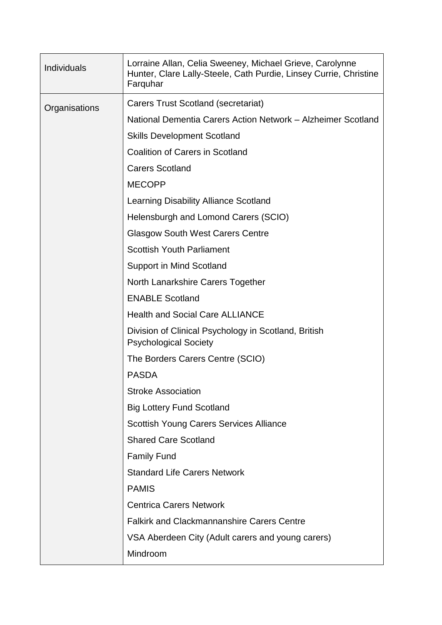| <b>Individuals</b> | Lorraine Allan, Celia Sweeney, Michael Grieve, Carolynne<br>Hunter, Clare Lally-Steele, Cath Purdie, Linsey Currie, Christine<br>Farquhar |
|--------------------|-------------------------------------------------------------------------------------------------------------------------------------------|
| Organisations      | Carers Trust Scotland (secretariat)                                                                                                       |
|                    | National Dementia Carers Action Network - Alzheimer Scotland                                                                              |
|                    | <b>Skills Development Scotland</b>                                                                                                        |
|                    | <b>Coalition of Carers in Scotland</b>                                                                                                    |
|                    | <b>Carers Scotland</b>                                                                                                                    |
|                    | <b>MECOPP</b>                                                                                                                             |
|                    | Learning Disability Alliance Scotland                                                                                                     |
|                    | Helensburgh and Lomond Carers (SCIO)                                                                                                      |
|                    | <b>Glasgow South West Carers Centre</b>                                                                                                   |
|                    | <b>Scottish Youth Parliament</b>                                                                                                          |
|                    | <b>Support in Mind Scotland</b>                                                                                                           |
|                    | North Lanarkshire Carers Together                                                                                                         |
|                    | <b>ENABLE Scotland</b>                                                                                                                    |
|                    | <b>Health and Social Care ALLIANCE</b>                                                                                                    |
|                    | Division of Clinical Psychology in Scotland, British<br><b>Psychological Society</b>                                                      |
|                    | The Borders Carers Centre (SCIO)                                                                                                          |
|                    | <b>PASDA</b>                                                                                                                              |
|                    | <b>Stroke Association</b>                                                                                                                 |
|                    | <b>Big Lottery Fund Scotland</b>                                                                                                          |
|                    | <b>Scottish Young Carers Services Alliance</b>                                                                                            |
|                    | <b>Shared Care Scotland</b>                                                                                                               |
|                    | <b>Family Fund</b>                                                                                                                        |
|                    | <b>Standard Life Carers Network</b>                                                                                                       |
|                    | <b>PAMIS</b>                                                                                                                              |
|                    | <b>Centrica Carers Network</b>                                                                                                            |
|                    | <b>Falkirk and Clackmannanshire Carers Centre</b>                                                                                         |
|                    | VSA Aberdeen City (Adult carers and young carers)                                                                                         |
|                    | Mindroom                                                                                                                                  |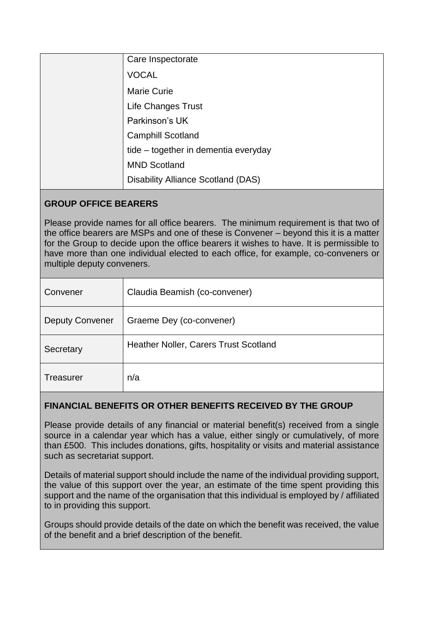| Care Inspectorate                         |
|-------------------------------------------|
| <b>VOCAL</b>                              |
| <b>Marie Curie</b>                        |
| Life Changes Trust                        |
| Parkinson's UK                            |
| <b>Camphill Scotland</b>                  |
| tide – together in dementia everyday      |
| <b>MND Scotland</b>                       |
| <b>Disability Alliance Scotland (DAS)</b> |

## **GROUP OFFICE BEARERS**

Please provide names for all office bearers. The minimum requirement is that two of the office bearers are MSPs and one of these is Convener – beyond this it is a matter for the Group to decide upon the office bearers it wishes to have. It is permissible to have more than one individual elected to each office, for example, co-conveners or multiple deputy conveners.

| Convener               | Claudia Beamish (co-convener)         |
|------------------------|---------------------------------------|
| <b>Deputy Convener</b> | Graeme Dey (co-convener)              |
| Secretary              | Heather Noller, Carers Trust Scotland |
| <b>Treasurer</b>       | n/a                                   |

## **FINANCIAL BENEFITS OR OTHER BENEFITS RECEIVED BY THE GROUP**

Please provide details of any financial or material benefit(s) received from a single source in a calendar year which has a value, either singly or cumulatively, of more than £500. This includes donations, gifts, hospitality or visits and material assistance such as secretariat support.

Details of material support should include the name of the individual providing support, the value of this support over the year, an estimate of the time spent providing this support and the name of the organisation that this individual is employed by / affiliated to in providing this support.

Groups should provide details of the date on which the benefit was received, the value of the benefit and a brief description of the benefit.